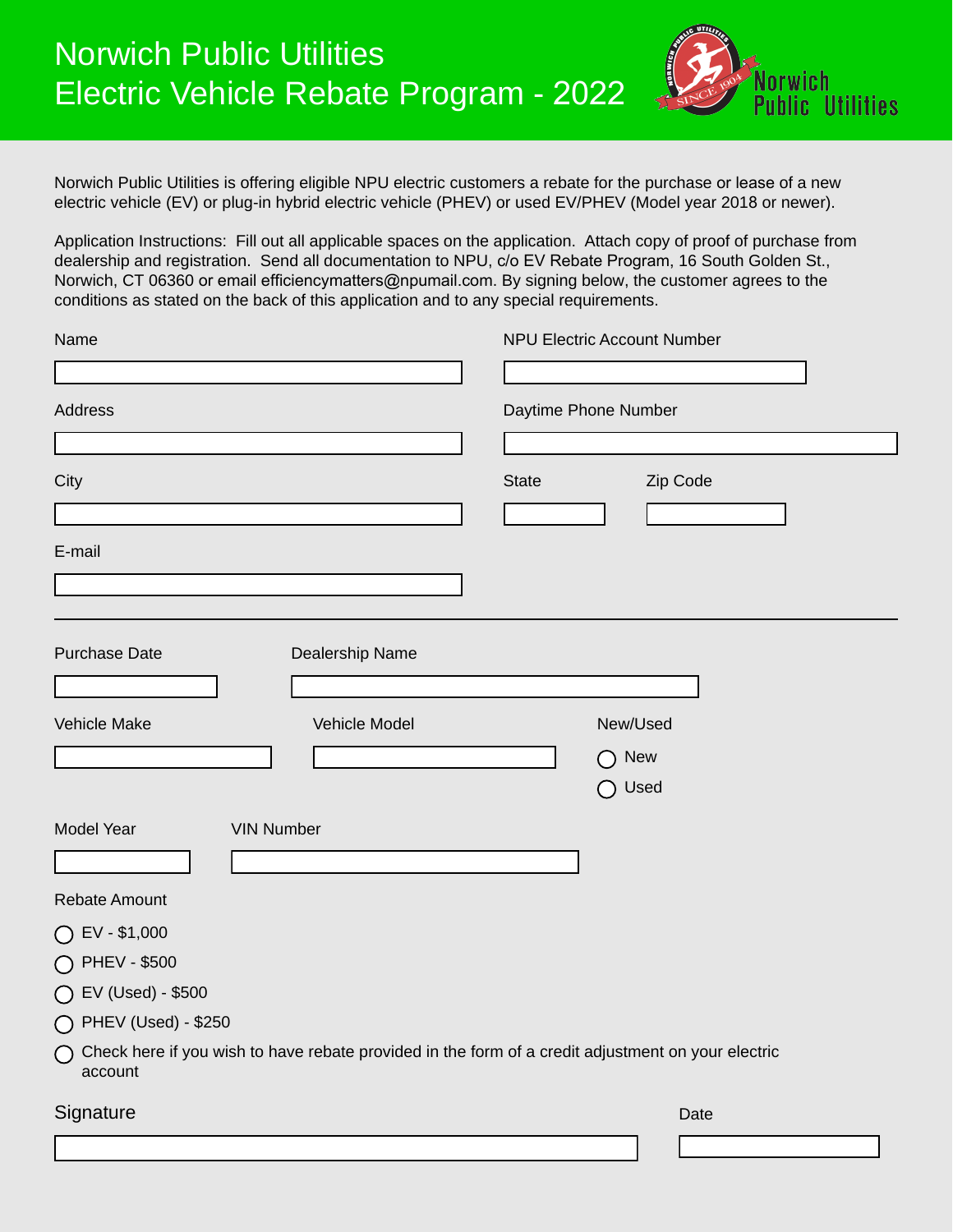

Norwich Public Utilities is offering eligible NPU electric customers a rebate for the purchase or lease of a new electric vehicle (EV) or plug-in hybrid electric vehicle (PHEV) or used EV/PHEV (Model year 2018 or newer).

Application Instructions: Fill out all applicable spaces on the application. Attach copy of proof of purchase from dealership and registration. Send all documentation to NPU, c/o EV Rebate Program, 16 South Golden St., Norwich, CT 06360 or email efficiencymatters@npumail.com. By signing below, the customer agrees to the conditions as stated on the back of this application and to any special requirements.

| Name                                                                                                                    | <b>NPU Electric Account Number</b> |
|-------------------------------------------------------------------------------------------------------------------------|------------------------------------|
|                                                                                                                         |                                    |
| <b>Address</b>                                                                                                          | Daytime Phone Number               |
|                                                                                                                         |                                    |
| City                                                                                                                    | <b>State</b><br>Zip Code           |
|                                                                                                                         |                                    |
| E-mail                                                                                                                  |                                    |
|                                                                                                                         |                                    |
|                                                                                                                         |                                    |
| <b>Purchase Date</b><br>Dealership Name                                                                                 |                                    |
|                                                                                                                         |                                    |
| <b>Vehicle Make</b><br>Vehicle Model                                                                                    | New/Used                           |
|                                                                                                                         | <b>New</b><br>( )                  |
|                                                                                                                         | Used<br>$($ )                      |
|                                                                                                                         |                                    |
| Model Year<br><b>VIN Number</b>                                                                                         |                                    |
|                                                                                                                         |                                    |
| <b>Rebate Amount</b>                                                                                                    |                                    |
| EV - \$1,000                                                                                                            |                                    |
| <b>PHEV - \$500</b>                                                                                                     |                                    |
| EV (Used) - \$500                                                                                                       |                                    |
| ◯ PHEV (Used) - \$250                                                                                                   |                                    |
| $\bigcap$ Check here if you wish to have rebate provided in the form of a credit adjustment on your electric<br>account |                                    |
| Signature                                                                                                               | Date                               |